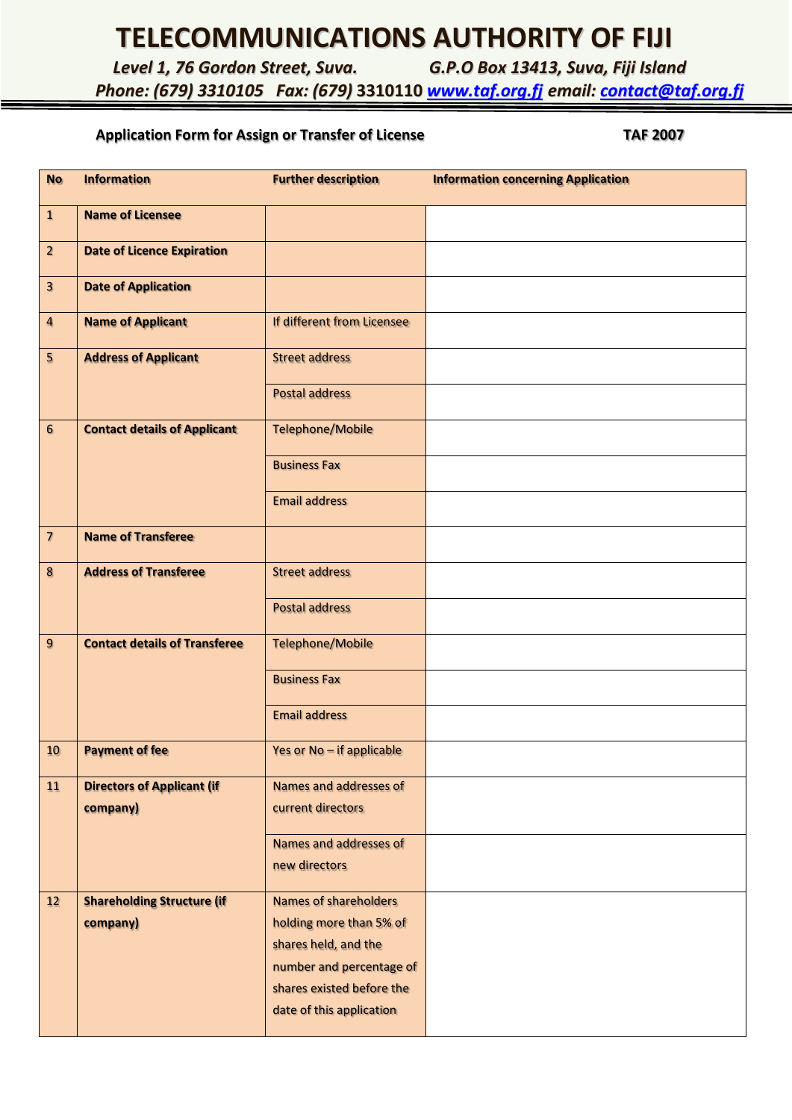## **TELECOMMUNICATIONS AUTHORITY OF FIJI**

*Level 1, 76 Gordon Street, Suva. G.P.O Box 13413, Suva, Fiji Island*

*Phone: (679) 3310105 Fax: (679)* **3310110** *[www.taf.org.fj](http://www.taf.org.fj/) email: [contact@taf.org.fj](mailto:contact@taf.org.fj)*

## **Application Form for Assign or Transfer of License TAF 2007**

| <b>No</b>                | <b>Information</b>                            | <b>Further description</b>                  | <b>Information concerning Application</b> |
|--------------------------|-----------------------------------------------|---------------------------------------------|-------------------------------------------|
| $\mathbf{1}$             | <b>Name of Licensee</b>                       |                                             |                                           |
| $\overline{2}$           | <b>Date of Licence Expiration</b>             |                                             |                                           |
| $\overline{\mathbf{3}}$  | <b>Date of Application</b>                    |                                             |                                           |
| $\overline{\mathbf{4}}$  | <b>Name of Applicant</b>                      | If different from Licensee                  |                                           |
| 5                        | <b>Address of Applicant</b>                   | <b>Street address</b>                       |                                           |
|                          |                                               | <b>Postal address</b>                       |                                           |
| 6                        | <b>Contact details of Applicant</b>           | <b>Telephone/Mobile</b>                     |                                           |
|                          |                                               | <b>Business Fax</b>                         |                                           |
|                          |                                               | <b>Email address</b>                        |                                           |
| $\overline{\mathcal{U}}$ | <b>Name of Transferee</b>                     |                                             |                                           |
| 8                        | <b>Address of Transferee</b>                  | <b>Street address</b>                       |                                           |
|                          |                                               | <b>Postal address</b>                       |                                           |
| $\overline{9}$           | <b>Contact details of Transferee</b>          | <b>Telephone/Mobile</b>                     |                                           |
|                          |                                               | <b>Business Fax</b>                         |                                           |
|                          |                                               | <b>Email address</b>                        |                                           |
| 10                       | <b>Payment of fee</b>                         | Yes or No - if applicable                   |                                           |
| 11                       | <b>Directors of Applicant (if</b><br>company) | Names and addresses of<br>current directors |                                           |
|                          |                                               | Names and addresses of                      |                                           |
|                          |                                               | new directors                               |                                           |
| 12                       | <b>Shareholding Structure (if</b>             | <b>Names of shareholders</b>                |                                           |
|                          | company)                                      | holding more than 5% of                     |                                           |
|                          |                                               | shares held, and the                        |                                           |
|                          |                                               | number and percentage of                    |                                           |
|                          |                                               | shares existed before the                   |                                           |
|                          |                                               | date of this application                    |                                           |